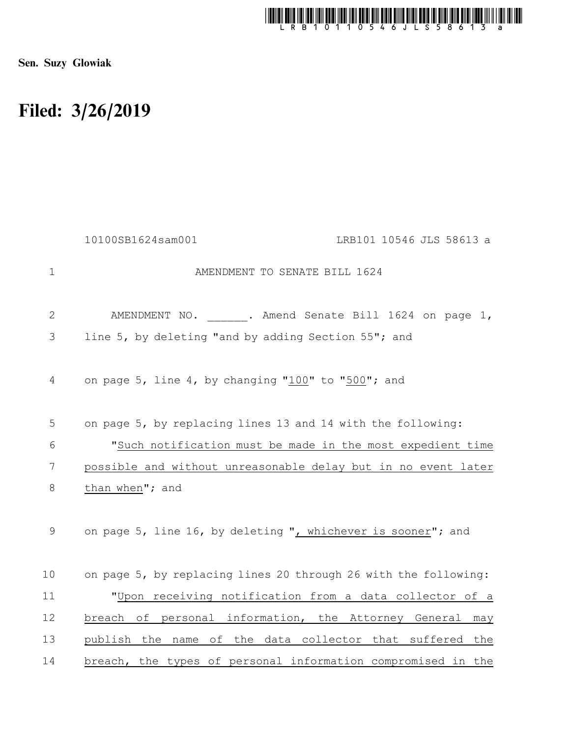

Sen. Suzy Glowiak

## Filed: 3/26/2019

|              | 10100SB1624sam001<br>LRB101 10546 JLS 58613 a                   |
|--------------|-----------------------------------------------------------------|
| $\mathbf 1$  | AMENDMENT TO SENATE BILL 1624                                   |
| $\mathbf{2}$ | AMENDMENT NO. . Amend Senate Bill 1624 on page 1,               |
| 3            | line 5, by deleting "and by adding Section 55"; and             |
| 4            | on page 5, line 4, by changing "100" to "500"; and              |
| 5            | on page 5, by replacing lines 13 and 14 with the following:     |
| 6            | "Such notification must be made in the most expedient time      |
| 7            | possible and without unreasonable delay but in no event later   |
| 8            | than when"; and                                                 |
| 9            | on page 5, line 16, by deleting ", whichever is sooner"; and    |
| 10           | on page 5, by replacing lines 20 through 26 with the following: |
| 11           | "Upon receiving notification from a data collector of a         |
| 12           | breach of personal information, the Attorney General<br>may     |
| 13           | publish the name of the data collector that suffered the        |
| 14           | breach, the types of personal information compromised in the    |